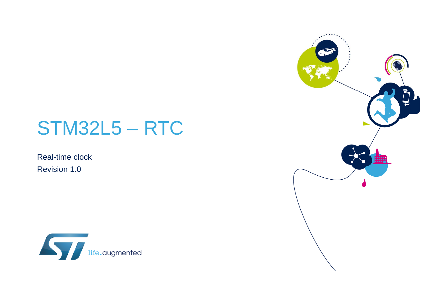### STM32L5 – RTC

Real-time clock Revision 1.0



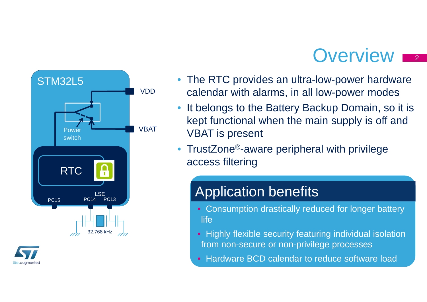### Overview **2**





- The RTC provides an ultra-low-power hardware calendar with alarms, in all low-power modes
- • It belongs to the Battery Backup Domain, so it is kept functional when the main supply is off and VBAT is present
- TrustZone<sup>®</sup>-aware peripheral with privilege access filtering

### Application benefits

- Consumption drastically reduced for longer battery **life**
- Highly flexible security featuring individual isolation from non-secure or non-privilege processes
- Hardware BCD calendar to reduce software load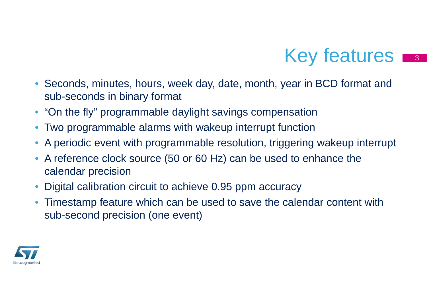### Key features

3

- $\bullet$  Seconds, minutes, hours, week day, date, month, year in BCD format and sub-seconds in binary format
- "On the fly" programmable daylight savings compensation
- Two programmable alarms with wakeup interrupt function
- •A periodic event with programmable resolution, triggering wakeup interrupt
- • A reference clock source (50 or 60 Hz) can be used to enhance the calendar precision
- •Digital calibration circuit to achieve 0.95 ppm accuracy
- Timestamp feature which can be used to save the calendar content with sub-second precision (one event)

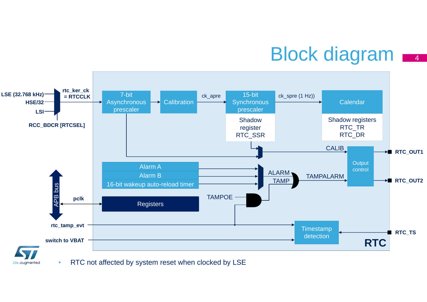## Block diagram  $\frac{1}{4}$



•RTC not affected by system reset when clocked by LSE

life.augmented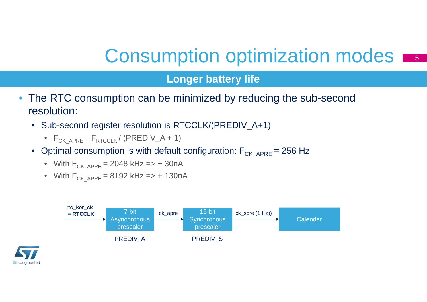### Consumption optimization modes

#### **Longer battery life**

- The RTC consumption can be minimized by reducing the sub-second resolution:
	- Sub-second register resolution is RTCCLK/(PREDIV\_A+1)
		- $\bullet$  F<sub>CK\_APRE</sub> = F<sub>RTCCLK</sub> / (PREDIV\_A + 1)
	- $\bullet~$  Optimal consumption is with default configuration:  $\mathsf{F}_{\mathsf{CK-APRE}}$  = 256 Hz
		- With  $F_{CKAPRE}$  = 2048 kHz => + 30nA
		- With  $F_{CKAPRE}$  = 8192 kHz => + 130nA



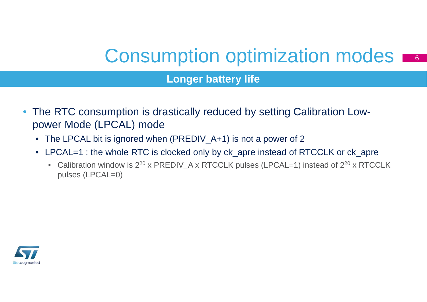### Consumption optimization modes

6

#### **Longer battery life**

- $\bullet$  The RTC consumption is drastically reduced by setting Calibration Lowpower Mode (LPCAL) mode
	- The LPCAL bit is ignored when (PREDIV\_A+1) is not a power of 2
	- LPCAL=1 : the whole RTC is clocked only by ck\_apre instead of RTCCLK or ck\_apre
		- Calibration window is  $2^{20}$  x PREDIV\_A x RTCCLK pulses (LPCAL=1) instead of  $2^{20}$  x RTCCLK pulses (LPCAL=0)

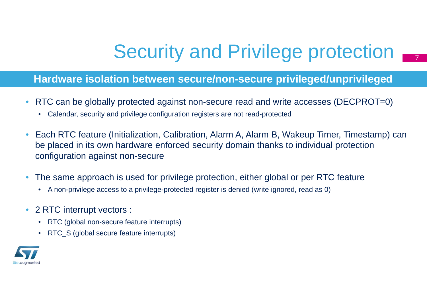# Security and Privilege protection  $\blacksquare$

#### **Hardware isolation between secure/non-secure privileged/unprivileged**

- $\bullet$  RTC can be globally protected against non-secure read and write accesses (DECPROT=0)
	- Calendar, security and privilege configuration registers are not read-protected
- $\bullet$  Each RTC feature (Initialization, Calibration, Alarm A, Alarm B, Wakeup Timer, Timestamp) can be placed in its own hardware enforced security domain thanks to individual protection configuration against non-secure
- $\bullet$  The same approach is used for privilege protection, either global or per RTC feature
	- A non-privilege access to a privilege-protected register is denied (write ignored, read as 0)
- $\bullet$  2 RTC interrupt vectors :
	- RTC (global non-secure feature interrupts)
	- RTC\_S (global secure feature interrupts)

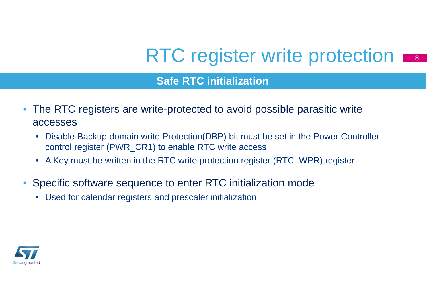# RTC register write protection

#### **Safe RTC initialization**

- The RTC registers are write-protected to avoid possible parasitic write accesses
	- $\bullet$  Disable Backup domain write Protection(DBP) bit must be set in the Power Controller control register (PWR\_CR1) to enable RTC write access
	- A Key must be written in the RTC write protection register (RTC\_WPR) register
- • Specific software sequence to enter RTC initialization mode
	- Used for calendar registers and prescaler initialization

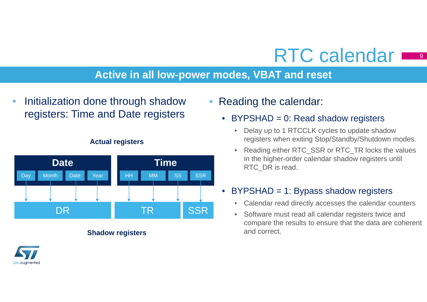### RTC calendar

### **Active in all low-power modes, VBAT and reset**

 $\bullet$  Initialization done through shadow registers: Time and Date registers



#### **Actual registers**

#### **Shadow registers**



### • Reading the calendar:

- BYPSHAD = 0: Read shadow registers
	- $\bullet$  Delay up to 1 RTCCLK cycles to update shadow registers when exiting Stop/Standby/Shutdown modes.
	- • Reading either RTC\_SSR or RTC\_TR locks the values in the higher-order calendar shadow registers until RTC\_DR is read.

#### BYPSHAD = 1: Bypass shadow registers

- $\bullet$ Calendar read directly accesses the calendar counters
- $\bullet$  Software must read all calendar registers twice and compare the results to ensure that the data are coherent and correct.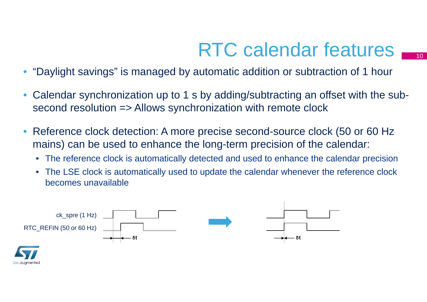## RTC calendar features  $\blacksquare$

- •"Daylight savings" is managed by automatic addition or subtraction of 1 hour
- • Calendar synchronization up to 1 s by adding/subtracting an offset with the subsecond resolution => Allows synchronization with remote clock
- • Reference clock detection: A more precise second-source clock (50 or 60 Hz mains) can be used to enhance the long-term precision of the calendar:
	- The reference clock is automatically detected and used to enhance the calendar precision
	- $\bullet$  The LSE clock is automatically used to update the calendar whenever the reference clock becomes unavailable

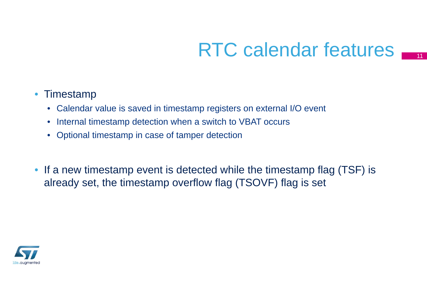### RTC calendar features **International**

### • Timestamp

- Calendar value is saved in timestamp registers on external I/O event
- Internal timestamp detection when a switch to VBAT occurs
- Optional timestamp in case of tamper detection
- If a new timestamp event is detected while the timestamp flag (TSF) is already set, the timestamp overflow flag (TSOVF) flag is set

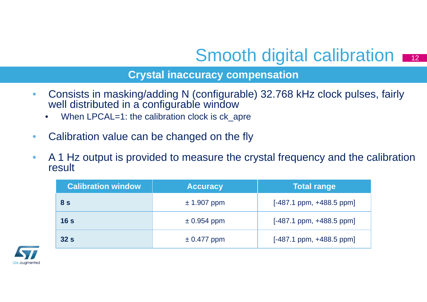### Smooth digital calibration  $\frac{1}{2}$

#### **Crystal inaccuracy compensation**

- $\bullet$  Consists in masking/adding N (configurable) 32.768 kHz clock pulses, fairly well distributed in a configurable window
	- •When LPCAL=1: the calibration clock is ck\_apre
- $\bullet$ Calibration value can be changed on the fly
- $\bullet$  A 1 Hz output is provided to measure the crystal frequency and the calibration result

| <b>Calibration window</b> | <b>Accuracy</b> | <b>Total range</b>           |
|---------------------------|-----------------|------------------------------|
| 8 <sub>s</sub>            | $± 1.907$ ppm   | $[-487.1$ ppm, $+488.5$ ppm] |
| 16 <sub>s</sub>           | $\pm$ 0.954 ppm | $[-487.1$ ppm, $+488.5$ ppm] |
| 32s                       | $\pm$ 0.477 ppm | $[-487.1$ ppm, $+488.5$ ppm] |

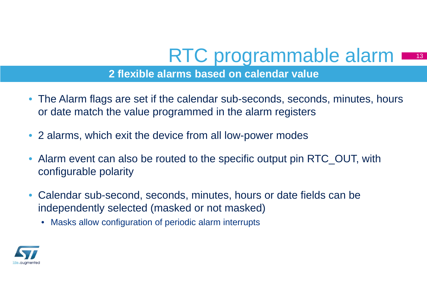# RTC programmable alarm  $\blacksquare$

13

### **2 flexible alarms based on calendar value**

- The Alarm flags are set if the calendar sub-seconds, seconds, minutes, hours or date match the value programmed in the alarm registers
- 2 alarms, which exit the device from all low-power modes
- Alarm event can also be routed to the specific output pin RTC\_OUT, with configurable polarity
- Calendar sub-second, seconds, minutes, hours or date fields can be independently selected (masked or not masked)
	- Masks allow configuration of periodic alarm interrupts

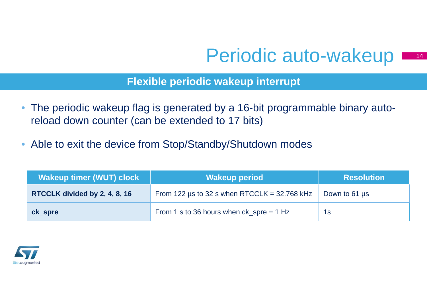### Periodic auto-wakeup

14

**Flexible periodic wakeup interrupt**

- $\bullet$  The periodic wakeup flag is generated by a 16-bit programmable binary autoreload down counter (can be extended to 17 bits)
- Able to exit the device from Stop/Standby/Shutdown modes

| <b>Wakeup timer (WUT) clock</b> | <b>Wakeup period</b>                              | <b>Resolution</b> |
|---------------------------------|---------------------------------------------------|-------------------|
| RTCCLK divided by 2, 4, 8, 16   | From 122 $\mu$ s to 32 s when RTCCLK = 32.768 kHz | Down to 61 us     |
| ck_spre                         | From 1 s to 36 hours when $ck\_spre = 1 Hz$       | 1s                |

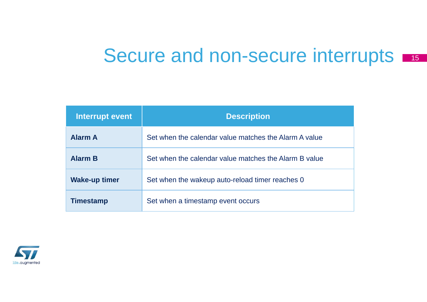### Secure and non-secure interrupts

| Interrupt event      | <b>Description</b>                                    |
|----------------------|-------------------------------------------------------|
| <b>Alarm A</b>       | Set when the calendar value matches the Alarm A value |
| <b>Alarm B</b>       | Set when the calendar value matches the Alarm B value |
| <b>Wake-up timer</b> | Set when the wakeup auto-reload timer reaches 0       |
| Timestamp            | Set when a timestamp event occurs                     |

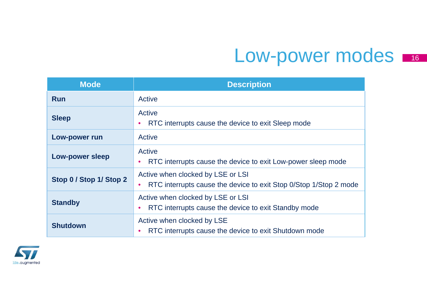### Low-power modes

| <b>Mode</b>             | <b>Description</b>                                                                                                  |
|-------------------------|---------------------------------------------------------------------------------------------------------------------|
| <b>Run</b>              | Active                                                                                                              |
| <b>Sleep</b>            | Active<br>RTC interrupts cause the device to exit Sleep mode                                                        |
| <b>Low-power run</b>    | Active                                                                                                              |
| <b>Low-power sleep</b>  | Active<br>RTC interrupts cause the device to exit Low-power sleep mode                                              |
| Stop 0 / Stop 1/ Stop 2 | Active when clocked by LSE or LSI<br>RTC interrupts cause the device to exit Stop 0/Stop 1/Stop 2 mode<br>$\bullet$ |
| <b>Standby</b>          | Active when clocked by LSE or LSI<br>RTC interrupts cause the device to exit Standby mode                           |
| <b>Shutdown</b>         | Active when clocked by LSE<br>RTC interrupts cause the device to exit Shutdown mode                                 |

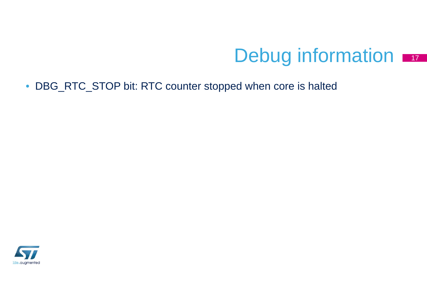#### Debug information 17

• DBG\_RTC\_STOP bit: RTC counter stopped when core is halted